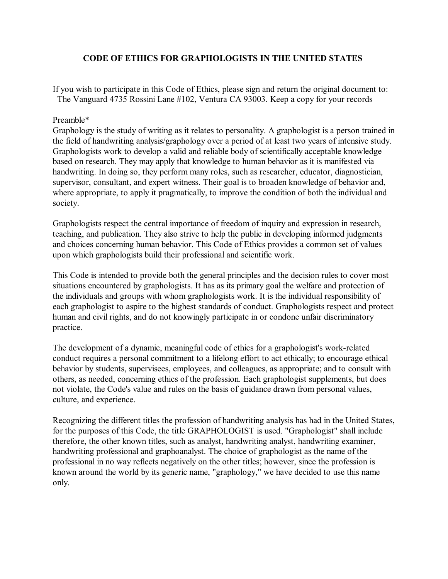## **CODE OF ETHICS FOR GRAPHOLOGISTS IN THE UNITED STATES**

If you wish to participate in this Code of Ethics, please sign and return the original document to: The Vanguard 4735 Rossini Lane #102, Ventura CA 93003. Keep a copy for your records

## Preamble\*

Graphology is the study of writing as it relates to personality. A graphologist is a person trained in the field of handwriting analysis/graphology over a period of at least two years of intensive study. Graphologists work to develop a valid and reliable body of scientifically acceptable knowledge based on research. They may apply that knowledge to human behavior as it is manifested via handwriting. In doing so, they perform many roles, such as researcher, educator, diagnostician, supervisor, consultant, and expert witness. Their goal is to broaden knowledge of behavior and, where appropriate, to apply it pragmatically, to improve the condition of both the individual and society.

Graphologists respect the central importance of freedom of inquiry and expression in research, teaching, and publication. They also strive to help the public in developing informed judgments and choices concerning human behavior. This Code of Ethics provides a common set of values upon which graphologists build their professional and scientific work.

This Code is intended to provide both the general principles and the decision rules to cover most situations encountered by graphologists. It has as its primary goal the welfare and protection of the individuals and groups with whom graphologists work. It is the individual responsibility of each graphologist to aspire to the highest standards of conduct. Graphologists respect and protect human and civil rights, and do not knowingly participate in or condone unfair discriminatory practice.

The development of a dynamic, meaningful code of ethics for a graphologist's work-related conduct requires a personal commitment to a lifelong effort to act ethically; to encourage ethical behavior by students, supervisees, employees, and colleagues, as appropriate; and to consult with others, as needed, concerning ethics of the profession. Each graphologist supplements, but does not violate, the Code's value and rules on the basis of guidance drawn from personal values, culture, and experience.

Recognizing the different titles the profession of handwriting analysis has had in the United States, for the purposes of this Code, the title GRAPHOLOGIST is used. "Graphologist" shall include therefore, the other known titles, such as analyst, handwriting analyst, handwriting examiner, handwriting professional and graphoanalyst. The choice of graphologist as the name of the professional in no way reflects negatively on the other titles; however, since the profession is known around the world by its generic name, "graphology," we have decided to use this name only.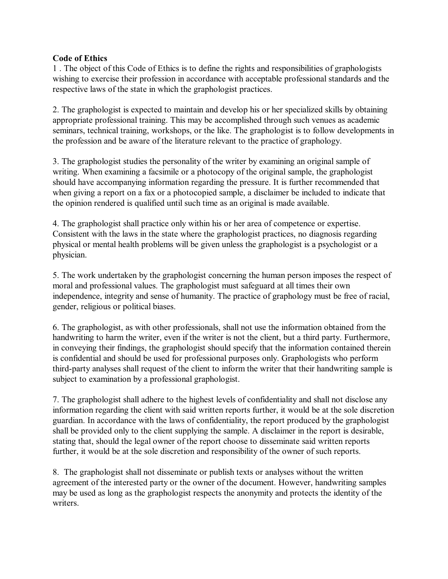## **Code of Ethics**

1 . The object of this Code of Ethics is to define the rights and responsibilities of graphologists wishing to exercise their profession in accordance with acceptable professional standards and the respective laws of the state in which the graphologist practices.

2. The graphologist is expected to maintain and develop his or her specialized skills by obtaining appropriate professional training. This may be accomplished through such venues as academic seminars, technical training, workshops, or the like. The graphologist is to follow developments in the profession and be aware of the literature relevant to the practice of graphology.

3. The graphologist studies the personality of the writer by examining an original sample of writing. When examining a facsimile or a photocopy of the original sample, the graphologist should have accompanying information regarding the pressure. It is further recommended that when giving a report on a fax or a photocopied sample, a disclaimer be included to indicate that the opinion rendered is qualified until such time as an original is made available.

4. The graphologist shall practice only within his or her area of competence or expertise. Consistent with the laws in the state where the graphologist practices, no diagnosis regarding physical or mental health problems will be given unless the graphologist is a psychologist or a physician.

5. The work undertaken by the graphologist concerning the human person imposes the respect of moral and professional values. The graphologist must safeguard at all times their own independence, integrity and sense of humanity. The practice of graphology must be free of racial, gender, religious or political biases.

6. The graphologist, as with other professionals, shall not use the information obtained from the handwriting to harm the writer, even if the writer is not the client, but a third party. Furthermore, in conveying their findings, the graphologist should specify that the information contained therein is confidential and should be used for professional purposes only. Graphologists who perform third-party analyses shall request of the client to inform the writer that their handwriting sample is subject to examination by a professional graphologist.

7. The graphologist shall adhere to the highest levels of confidentiality and shall not disclose any information regarding the client with said written reports further, it would be at the sole discretion guardian. In accordance with the laws of confidentiality, the report produced by the graphologist shall be provided only to the client supplying the sample. A disclaimer in the report is desirable, stating that, should the legal owner of the report choose to disseminate said written reports further, it would be at the sole discretion and responsibility of the owner of such reports.

8. The graphologist shall not disseminate or publish texts or analyses without the written agreement of the interested party or the owner of the document. However, handwriting samples may be used as long as the graphologist respects the anonymity and protects the identity of the writers.